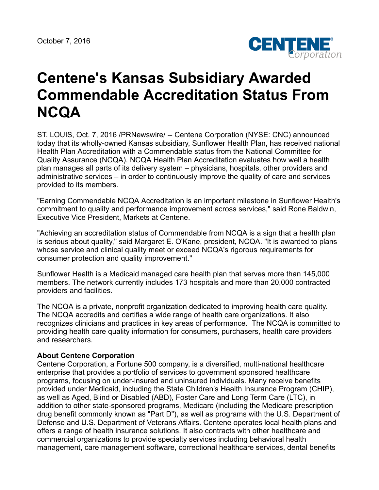October 7, 2016



## **Centene's Kansas Subsidiary Awarded Commendable Accreditation Status From NCQA**

ST. LOUIS, Oct. 7, 2016 /PRNewswire/ -- Centene Corporation (NYSE: CNC) announced today that its wholly-owned Kansas subsidiary, Sunflower Health Plan, has received national Health Plan Accreditation with a Commendable status from the National Committee for Quality Assurance (NCQA). NCQA Health Plan Accreditation evaluates how well a health plan manages all parts of its delivery system – physicians, hospitals, other providers and administrative services – in order to continuously improve the quality of care and services provided to its members.

"Earning Commendable NCQA Accreditation is an important milestone in Sunflower Health's commitment to quality and performance improvement across services," said Rone Baldwin, Executive Vice President, Markets at Centene.

"Achieving an accreditation status of Commendable from NCQA is a sign that a health plan is serious about quality," said Margaret E. O'Kane, president, NCQA. "It is awarded to plans whose service and clinical quality meet or exceed NCQA's rigorous requirements for consumer protection and quality improvement."

Sunflower Health is a Medicaid managed care health plan that serves more than 145,000 members. The network currently includes 173 hospitals and more than 20,000 contracted providers and facilities.

The NCQA is a private, nonprofit organization dedicated to improving health care quality. The NCQA accredits and certifies a wide range of health care organizations. It also recognizes clinicians and practices in key areas of performance. The NCQA is committed to providing health care quality information for consumers, purchasers, health care providers and researchers.

## **About Centene Corporation**

Centene Corporation, a Fortune 500 company, is a diversified, multi-national healthcare enterprise that provides a portfolio of services to government sponsored healthcare programs, focusing on under-insured and uninsured individuals. Many receive benefits provided under Medicaid, including the State Children's Health Insurance Program (CHIP), as well as Aged, Blind or Disabled (ABD), Foster Care and Long Term Care (LTC), in addition to other state-sponsored programs, Medicare (including the Medicare prescription drug benefit commonly known as "Part D"), as well as programs with the U.S. Department of Defense and U.S. Department of Veterans Affairs. Centene operates local health plans and offers a range of health insurance solutions. It also contracts with other healthcare and commercial organizations to provide specialty services including behavioral health management, care management software, correctional healthcare services, dental benefits